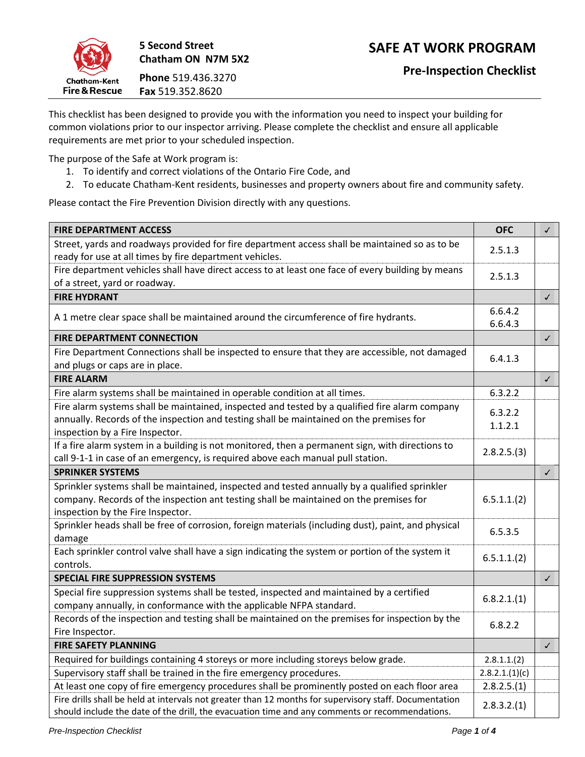

**5 Second Street Chatham ON N7M 5X2 Phone** 519.436.3270

**Fax** 519.352.8620

This checklist has been designed to provide you with the information you need to inspect your building for common violations prior to our inspector arriving. Please complete the checklist and ensure all applicable requirements are met prior to your scheduled inspection.

The purpose of the Safe at Work program is:

- 1. To identify and correct violations of the Ontario Fire Code, and
- 2. To educate Chatham-Kent residents, businesses and property owners about fire and community safety.

Please contact the Fire Prevention Division directly with any questions.

| <b>FIRE DEPARTMENT ACCESS</b>                                                                                                                                                                                                | <b>OFC</b>         | $\checkmark$ |
|------------------------------------------------------------------------------------------------------------------------------------------------------------------------------------------------------------------------------|--------------------|--------------|
| Street, yards and roadways provided for fire department access shall be maintained so as to be<br>ready for use at all times by fire department vehicles.                                                                    | 2.5.1.3            |              |
| Fire department vehicles shall have direct access to at least one face of every building by means<br>of a street, yard or roadway.                                                                                           | 2.5.1.3            |              |
| <b>FIRE HYDRANT</b>                                                                                                                                                                                                          |                    | $\checkmark$ |
| A 1 metre clear space shall be maintained around the circumference of fire hydrants.                                                                                                                                         | 6.6.4.2<br>6.6.4.3 |              |
| <b>FIRE DEPARTMENT CONNECTION</b>                                                                                                                                                                                            |                    | $\checkmark$ |
| Fire Department Connections shall be inspected to ensure that they are accessible, not damaged<br>and plugs or caps are in place.                                                                                            | 6.4.1.3            |              |
| <b>FIRE ALARM</b>                                                                                                                                                                                                            |                    | $\checkmark$ |
| Fire alarm systems shall be maintained in operable condition at all times.                                                                                                                                                   | 6.3.2.2            |              |
| Fire alarm systems shall be maintained, inspected and tested by a qualified fire alarm company<br>annually. Records of the inspection and testing shall be maintained on the premises for<br>inspection by a Fire Inspector. | 6.3.2.2<br>1.1.2.1 |              |
| If a fire alarm system in a building is not monitored, then a permanent sign, with directions to<br>call 9-1-1 in case of an emergency, is required above each manual pull station.                                          | 2.8.2.5.(3)        |              |
| <b>SPRINKER SYSTEMS</b>                                                                                                                                                                                                      |                    | $\checkmark$ |
| Sprinkler systems shall be maintained, inspected and tested annually by a qualified sprinkler<br>company. Records of the inspection ant testing shall be maintained on the premises for<br>inspection by the Fire Inspector. | 6.5.1.1.(2)        |              |
| Sprinkler heads shall be free of corrosion, foreign materials (including dust), paint, and physical<br>damage                                                                                                                | 6.5.3.5            |              |
| Each sprinkler control valve shall have a sign indicating the system or portion of the system it<br>controls.                                                                                                                | 6.5.1.1.(2)        |              |
| SPECIAL FIRE SUPPRESSION SYSTEMS                                                                                                                                                                                             |                    | $\checkmark$ |
| Special fire suppression systems shall be tested, inspected and maintained by a certified<br>company annually, in conformance with the applicable NFPA standard.                                                             | 6.8.2.1(1)         |              |
| Records of the inspection and testing shall be maintained on the premises for inspection by the<br>Fire Inspector.                                                                                                           | 6.8.2.2            |              |
| <b>FIRE SAFETY PLANNING</b>                                                                                                                                                                                                  |                    | $\checkmark$ |
| Required for buildings containing 4 storeys or more including storeys below grade.                                                                                                                                           | 2.8.1.1(2)         |              |
| Supervisory staff shall be trained in the fire emergency procedures.                                                                                                                                                         | 2.8.2.1.(1)(c)     |              |
| At least one copy of fire emergency procedures shall be prominently posted on each floor area                                                                                                                                | 2.8.2.5.(1)        |              |
| Fire drills shall be held at intervals not greater than 12 months for supervisory staff. Documentation<br>should include the date of the drill, the evacuation time and any comments or recommendations.                     |                    |              |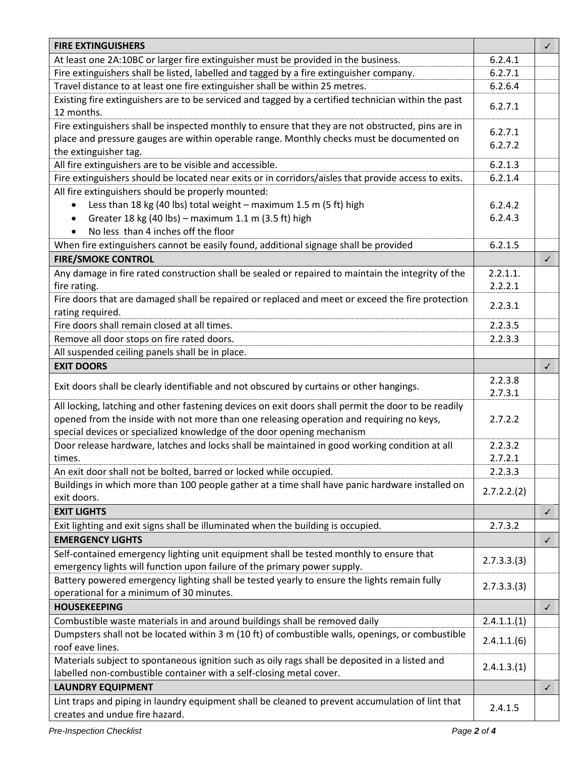| <b>FIRE EXTINGUISHERS</b>                                                                                                                                           |                    | $\checkmark$ |
|---------------------------------------------------------------------------------------------------------------------------------------------------------------------|--------------------|--------------|
| At least one 2A:10BC or larger fire extinguisher must be provided in the business.                                                                                  | 6.2.4.1            |              |
| Fire extinguishers shall be listed, labelled and tagged by a fire extinguisher company.                                                                             | 6.2.7.1            |              |
| Travel distance to at least one fire extinguisher shall be within 25 metres.                                                                                        | 6.2.6.4            |              |
| Existing fire extinguishers are to be serviced and tagged by a certified technician within the past<br>12 months.                                                   |                    |              |
| Fire extinguishers shall be inspected monthly to ensure that they are not obstructed, pins are in                                                                   |                    |              |
| place and pressure gauges are within operable range. Monthly checks must be documented on                                                                           |                    |              |
| the extinguisher tag.                                                                                                                                               |                    |              |
| All fire extinguishers are to be visible and accessible.<br>Fire extinguishers should be located near exits or in corridors/aisles that provide access to exits.    |                    |              |
| All fire extinguishers should be properly mounted:                                                                                                                  | 6.2.1.4            |              |
| Less than 18 kg (40 lbs) total weight - maximum 1.5 m (5 ft) high<br>$\bullet$                                                                                      | 6.2.4.2            |              |
| Greater 18 kg (40 lbs) - maximum 1.1 m (3.5 ft) high                                                                                                                | 6.2.4.3            |              |
| $\bullet$<br>No less than 4 inches off the floor                                                                                                                    |                    |              |
| When fire extinguishers cannot be easily found, additional signage shall be provided                                                                                | 6.2.1.5            |              |
|                                                                                                                                                                     |                    |              |
| <b>FIRE/SMOKE CONTROL</b>                                                                                                                                           |                    | $\checkmark$ |
| Any damage in fire rated construction shall be sealed or repaired to maintain the integrity of the                                                                  | 2.2.1.1.           |              |
| fire rating.                                                                                                                                                        | 2.2.2.1            |              |
| Fire doors that are damaged shall be repaired or replaced and meet or exceed the fire protection                                                                    | 2.2.3.1            |              |
| rating required.                                                                                                                                                    |                    |              |
| Fire doors shall remain closed at all times.                                                                                                                        | 2.2.3.5            |              |
| Remove all door stops on fire rated doors.                                                                                                                          | 2.2.3.3            |              |
| All suspended ceiling panels shall be in place.                                                                                                                     |                    |              |
| <b>EXIT DOORS</b>                                                                                                                                                   |                    | $\checkmark$ |
| Exit doors shall be clearly identifiable and not obscured by curtains or other hangings.                                                                            | 2.2.3.8<br>2.7.3.1 |              |
| All locking, latching and other fastening devices on exit doors shall permit the door to be readily                                                                 |                    |              |
| opened from the inside with not more than one releasing operation and requiring no keys,                                                                            | 2.7.2.2            |              |
| special devices or specialized knowledge of the door opening mechanism                                                                                              |                    |              |
| Door release hardware, latches and locks shall be maintained in good working condition at all                                                                       | 2.2.3.2            |              |
| times.                                                                                                                                                              | 2.7.2.1            |              |
| An exit door shall not be bolted, barred or locked while occupied.                                                                                                  | 2.2.3.3            |              |
| Buildings in which more than 100 people gather at a time shall have panic hardware installed on                                                                     |                    |              |
| exit doors.                                                                                                                                                         | 2.7.2.2.(2)        |              |
| <b>EXIT LIGHTS</b>                                                                                                                                                  |                    | $\checkmark$ |
| Exit lighting and exit signs shall be illuminated when the building is occupied.                                                                                    | 2.7.3.2            |              |
| <b>EMERGENCY LIGHTS</b>                                                                                                                                             |                    | $\checkmark$ |
| Self-contained emergency lighting unit equipment shall be tested monthly to ensure that<br>emergency lights will function upon failure of the primary power supply. | 2.7.3.3.(3)        |              |
| Battery powered emergency lighting shall be tested yearly to ensure the lights remain fully<br>operational for a minimum of 30 minutes.                             | 2.7.3.3.(3)        |              |
| <b>HOUSEKEEPING</b>                                                                                                                                                 |                    | $\checkmark$ |
| Combustible waste materials in and around buildings shall be removed daily                                                                                          | 2.4.1.1(1)         |              |
| Dumpsters shall not be located within 3 m (10 ft) of combustible walls, openings, or combustible<br>roof eave lines.                                                | 2.4.1.1(6)         |              |
| Materials subject to spontaneous ignition such as oily rags shall be deposited in a listed and                                                                      | 2.4.1.3(1)         |              |
| labelled non-combustible container with a self-closing metal cover.                                                                                                 |                    |              |
| <b>LAUNDRY EQUIPMENT</b>                                                                                                                                            |                    | $\checkmark$ |
| Lint traps and piping in laundry equipment shall be cleaned to prevent accumulation of lint that<br>creates and undue fire hazard.                                  | 2.4.1.5            |              |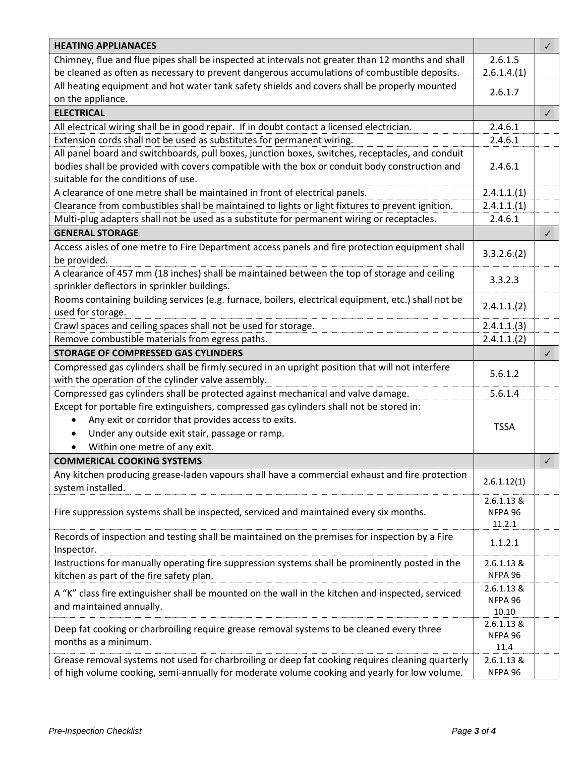| <b>HEATING APPLIANACES</b>                                                                                          |                       | $\checkmark$ |
|---------------------------------------------------------------------------------------------------------------------|-----------------------|--------------|
| Chimney, flue and flue pipes shall be inspected at intervals not greater than 12 months and shall                   |                       |              |
| be cleaned as often as necessary to prevent dangerous accumulations of combustible deposits.                        |                       |              |
| All heating equipment and hot water tank safety shields and covers shall be properly mounted                        |                       |              |
| on the appliance.                                                                                                   | 2.6.1.7               |              |
| <b>ELECTRICAL</b>                                                                                                   |                       | ✓            |
| All electrical wiring shall be in good repair. If in doubt contact a licensed electrician.                          | 2.4.6.1               |              |
| Extension cords shall not be used as substitutes for permanent wiring.                                              | 2.4.6.1               |              |
| All panel board and switchboards, pull boxes, junction boxes, switches, receptacles, and conduit                    |                       |              |
| bodies shall be provided with covers compatible with the box or conduit body construction and<br>2.4.6.1            |                       |              |
| suitable for the conditions of use.                                                                                 |                       |              |
| A clearance of one metre shall be maintained in front of electrical panels.                                         | 2.4.1.1.(1)           |              |
| Clearance from combustibles shall be maintained to lights or light fixtures to prevent ignition.                    | 2.4.1.1(1)            |              |
| Multi-plug adapters shall not be used as a substitute for permanent wiring or receptacles.                          | 2.4.6.1               |              |
| <b>GENERAL STORAGE</b>                                                                                              |                       | $\checkmark$ |
| Access aisles of one metre to Fire Department access panels and fire protection equipment shall                     | 3.3.2.6(2)            |              |
| be provided.                                                                                                        |                       |              |
| A clearance of 457 mm (18 inches) shall be maintained between the top of storage and ceiling                        | 3.3.2.3               |              |
| sprinkler deflectors in sprinkler buildings.                                                                        |                       |              |
| Rooms containing building services (e.g. furnace, boilers, electrical equipment, etc.) shall not be                 | 2.4.1.1(2)            |              |
| used for storage.                                                                                                   |                       |              |
| Crawl spaces and ceiling spaces shall not be used for storage.                                                      | 2.4.1.1.(3)           |              |
| Remove combustible materials from egress paths.                                                                     | 2.4.1.1.(2)           |              |
| STORAGE OF COMPRESSED GAS CYLINDERS                                                                                 |                       | $\checkmark$ |
| Compressed gas cylinders shall be firmly secured in an upright position that will not interfere                     | 5.6.1.2               |              |
| with the operation of the cylinder valve assembly.                                                                  |                       |              |
| Compressed gas cylinders shall be protected against mechanical and valve damage.                                    | 5.6.1.4               |              |
| Except for portable fire extinguishers, compressed gas cylinders shall not be stored in:                            |                       |              |
| Any exit or corridor that provides access to exits.                                                                 | <b>TSSA</b>           |              |
| Under any outside exit stair, passage or ramp.                                                                      |                       |              |
| Within one metre of any exit.                                                                                       |                       |              |
| <b>COMMERICAL COOKING SYSTEMS</b>                                                                                   |                       | $\checkmark$ |
| Any kitchen producing grease-laden vapours shall have a commercial exhaust and fire protection<br>system installed. | 2.6.1.12(1)           |              |
|                                                                                                                     | 2.6.1.13 &            |              |
| Fire suppression systems shall be inspected, serviced and maintained every six months.                              | NFPA 96               |              |
|                                                                                                                     | 11.2.1                |              |
| Records of inspection and testing shall be maintained on the premises for inspection by a Fire<br>Inspector.        | 1.1.2.1               |              |
| Instructions for manually operating fire suppression systems shall be prominently posted in the                     | 2.6.1.13 &            |              |
| kitchen as part of the fire safety plan.                                                                            | NFPA 96               |              |
| A "K" class fire extinguisher shall be mounted on the wall in the kitchen and inspected, serviced                   | 2.6.1.13 &<br>NFPA 96 |              |
| and maintained annually.                                                                                            |                       |              |
|                                                                                                                     | 10.10<br>$2.6.1.13$ & |              |
| Deep fat cooking or charbroiling require grease removal systems to be cleaned every three                           |                       |              |
| months as a minimum.                                                                                                |                       |              |
| Grease removal systems not used for charbroiling or deep fat cooking requires cleaning quarterly                    | 11.4<br>2.6.1.13 &    |              |
| of high volume cooking, semi-annually for moderate volume cooking and yearly for low volume.                        | NFPA 96               |              |